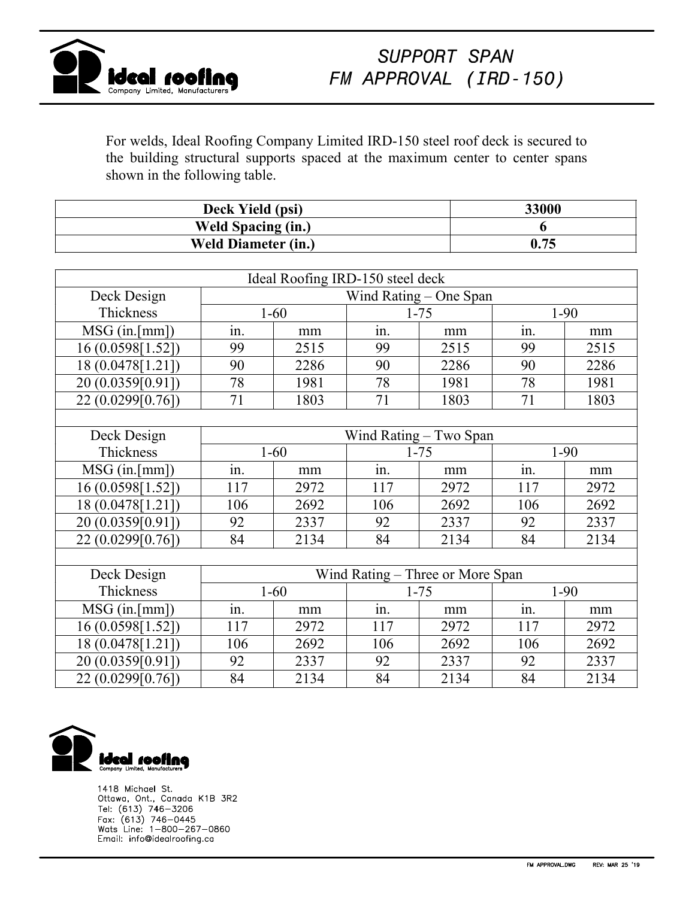

For welds, Ideal Roofing Company Limited IRD-150 steel roof deck is secured to the building structural supports spaced at the maximum center to center spans shown in the following table.

| Deck Yield (psi)           | 33000 |
|----------------------------|-------|
| <b>Weld Spacing (in.)</b>  |       |
| <b>Weld Diameter (in.)</b> | 0.75  |

|                   |                                  | Ideal Roofing IRD-150 steel deck |          |          |        |        |  |
|-------------------|----------------------------------|----------------------------------|----------|----------|--------|--------|--|
| Deck Design       | Wind Rating - One Span           |                                  |          |          |        |        |  |
| Thickness         | $1 - 60$                         |                                  | $1 - 75$ |          | $1-90$ |        |  |
| $MSG$ (in.[mm])   | in.                              | mm                               | in.      | mm       | in.    | mm     |  |
| 16 (0.0598[1.52]) | 99                               | 2515                             | 99       | 2515     | 99     | 2515   |  |
| 18 (0.0478[1.21]) | 90                               | 2286                             | 90       | 2286     | 90     | 2286   |  |
| 20 (0.0359[0.91]) | 78                               | 1981                             | 78       | 1981     | 78     | 1981   |  |
| 22 (0.0299[0.76]) | 71                               | 1803                             | 71       | 1803     | 71     | 1803   |  |
|                   |                                  |                                  |          |          |        |        |  |
| Deck Design       | Wind Rating – Two Span           |                                  |          |          |        |        |  |
| Thickness         | $1 - 60$                         |                                  |          | $1 - 75$ |        | $1-90$ |  |
| $MSG$ (in.[mm])   | in.                              | mm                               | in.      | mm       | in.    | mm     |  |
| 16 (0.0598[1.52]) | 117                              | 2972                             | 117      | 2972     | 117    | 2972   |  |
| 18 (0.0478[1.21]) | 106                              | 2692                             | 106      | 2692     | 106    | 2692   |  |
| 20 (0.0359[0.91]) | 92                               | 2337                             | 92       | 2337     | 92     | 2337   |  |
| 22 (0.0299[0.76]) | 84                               | 2134                             | 84       | 2134     | 84     | 2134   |  |
|                   |                                  |                                  |          |          |        |        |  |
| Deck Design       | Wind Rating – Three or More Span |                                  |          |          |        |        |  |
| Thickness         | $1 - 60$                         |                                  | $1 - 75$ |          | $1-90$ |        |  |
| $MSG$ (in.[mm])   | in.                              | mm                               | in.      | mm       | in.    | mm     |  |
| 16 (0.0598[1.52]) | 117                              | 2972                             | 117      | 2972     | 117    | 2972   |  |
| 18 (0.0478[1.21]) | 106                              | 2692                             | 106      | 2692     | 106    | 2692   |  |
| 20 (0.0359[0.91]) | 92                               | 2337                             | 92       | 2337     | 92     | 2337   |  |
| 22 (0.0299[0.76]) | 84                               | 2134                             | 84       | 2134     | 84     | 2134   |  |



1418 Michael St. Ottawa, Ont., Canada K1B 3R2 Tel: (613) 746–3206<br>Fax: (613) 746–0445<br>Wats Line: 1–800–267–0860 Email: info@idealroofing.ca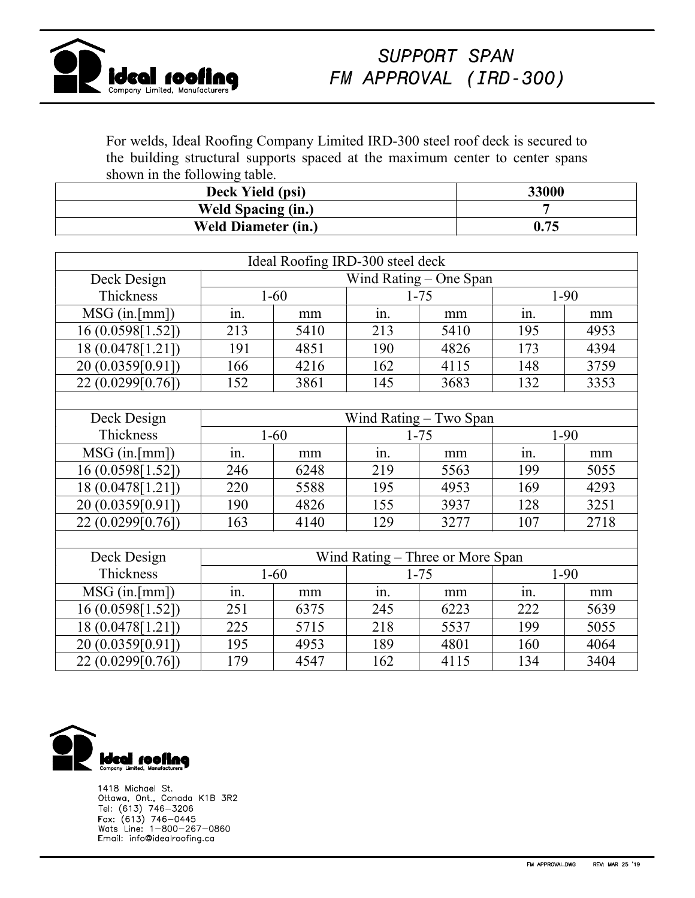

For welds, Ideal Roofing Company Limited IRD-300 steel roof deck is secured to the building structural supports spaced at the maximum center to center spans shown in the following table.

| Deck Yield (psi)           | 33000 |
|----------------------------|-------|
| <b>Weld Spacing (in.)</b>  |       |
| <b>Weld Diameter (in.)</b> | 0.75  |

| Ideal Roofing IRD-300 steel deck |                                  |      |          |      |          |      |  |
|----------------------------------|----------------------------------|------|----------|------|----------|------|--|
| Deck Design                      | Wind Rating - One Span           |      |          |      |          |      |  |
| Thickness                        | $1 - 60$                         |      | $1 - 75$ |      | $1-90$   |      |  |
| $MSG$ (in.[mm])                  | in.                              | mm   | in.      | mm   | in.      | mm   |  |
| 16 (0.0598[1.52])                | 213                              | 5410 | 213      | 5410 | 195      | 4953 |  |
| 18 (0.0478[1.21])                | 191                              | 4851 | 190      | 4826 | 173      | 4394 |  |
| 20 (0.0359[0.91])                | 166                              | 4216 | 162      | 4115 | 148      | 3759 |  |
| 22 (0.0299[0.76])                | 152                              | 3861 | 145      | 3683 | 132      | 3353 |  |
|                                  |                                  |      |          |      |          |      |  |
| Deck Design                      | Wind Rating – Two Span           |      |          |      |          |      |  |
| Thickness                        | $1 - 60$                         |      | $1 - 75$ |      | $1-90$   |      |  |
| $MSG$ (in.[mm])                  | in.                              | mm   | in.      | mm   | in.      | mm   |  |
| 16 (0.0598[1.52])                | 246                              | 6248 | 219      | 5563 | 199      | 5055 |  |
| 18 (0.0478[1.21])                | 220                              | 5588 | 195      | 4953 | 169      | 4293 |  |
| 20 (0.0359[0.91])                | 190                              | 4826 | 155      | 3937 | 128      | 3251 |  |
| 22 (0.0299[0.76])                | 163                              | 4140 | 129      | 3277 | 107      | 2718 |  |
|                                  |                                  |      |          |      |          |      |  |
| Deck Design                      | Wind Rating – Three or More Span |      |          |      |          |      |  |
| Thickness                        | $1 - 60$                         |      | $1 - 75$ |      | $1 - 90$ |      |  |
| $MSG$ (in.[mm])                  | in.                              | mm   | in.      | mm   | in.      | mm   |  |
| 16 (0.0598[1.52])                | 251                              | 6375 | 245      | 6223 | 222      | 5639 |  |
| 18 (0.0478[1.21])                | 225                              | 5715 | 218      | 5537 | 199      | 5055 |  |
| 20 (0.0359[0.91])                | 195                              | 4953 | 189      | 4801 | 160      | 4064 |  |
| 22 (0.0299[0.76])                | 179                              | 4547 | 162      | 4115 | 134      | 3404 |  |



1418 Michael St. Ottawa, Ont., Canada K1B 3R2 Tel: (613) 746-3206<br>Fax: (613) 746-0445<br>Wats Line: 1-800-267-0860 Email: info@idealroofing.ca